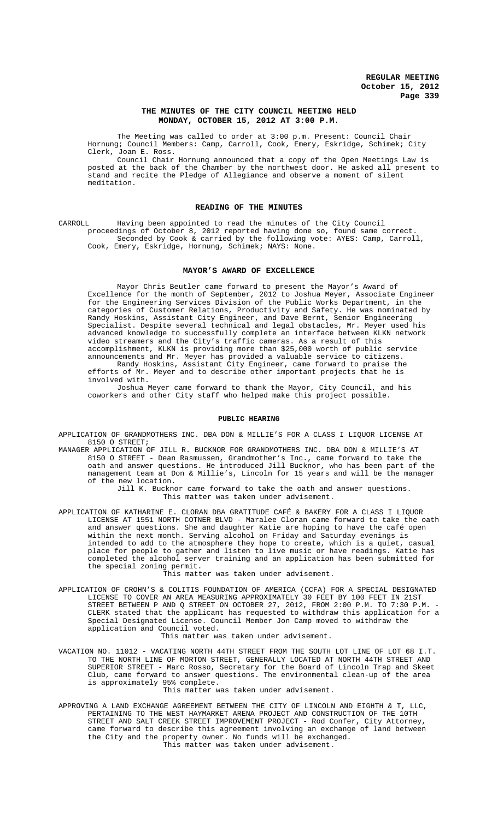# **THE MINUTES OF THE CITY COUNCIL MEETING HELD MONDAY, OCTOBER 15, 2012 AT 3:00 P.M.**

The Meeting was called to order at 3:00 p.m. Present: Council Chair Hornung; Council Members: Camp, Carroll, Cook, Emery, Eskridge, Schimek; City Clerk, Joan E. Ross.

Council Chair Hornung announced that a copy of the Open Meetings Law is posted at the back of the Chamber by the northwest door. He asked all present to stand and recite the Pledge of Allegiance and observe a moment of silent meditation.

# **READING OF THE MINUTES**

CARROLL Having been appointed to read the minutes of the City Council proceedings of October 8, 2012 reported having done so, found same correct. Seconded by Cook & carried by the following vote: AYES: Camp, Carroll, Cook, Emery, Eskridge, Hornung, Schimek; NAYS: None.

## **MAYOR'S AWARD OF EXCELLENCE**

Mayor Chris Beutler came forward to present the Mayor's Award of Excellence for the month of September, 2012 to Joshua Meyer, Associate Engineer for the Engineering Services Division of the Public Works Department, in the categories of Customer Relations, Productivity and Safety. He was nominated by Randy Hoskins, Assistant City Engineer, and Dave Bernt, Senior Engineering Specialist. Despite several technical and legal obstacles, Mr. Meyer used his advanced knowledge to successfully complete an interface between KLKN network video streamers and the City's traffic cameras. As a result of this accomplishment, KLKN is providing more than \$25,000 worth of public service announcements and Mr. Meyer has provided a valuable service to citizens. Randy Hoskins, Assistant City Engineer, came forward to praise the

efforts of Mr. Meyer and to describe other important projects that he is involved with.

Joshua Meyer came forward to thank the Mayor, City Council, and his coworkers and other City staff who helped make this project possible.

#### **PUBLIC HEARING**

APPLICATION OF GRANDMOTHERS INC. DBA DON & MILLIE'S FOR A CLASS I LIQUOR LICENSE AT 8150 O STREET;

MANAGER APPLICATION OF JILL R. BUCKNOR FOR GRANDMOTHERS INC. DBA DON & MILLIE'S AT 8150 O STREET - Dean Rasmussen, Grandmother's Inc., came forward to take the oath and answer questions. He introduced Jill Bucknor, who has been part of the management team at Don & Millie's, Lincoln for 15 years and will be the manager of the new location.

Jill K. Bucknor came forward to take the oath and answer questions. This matter was taken under advisement.

APPLICATION OF KATHARINE E. CLORAN DBA GRATITUDE CAFÉ & BAKERY FOR A CLASS I LIQUOR LICENSE AT 1551 NORTH COTNER BLVD - Maralee Cloran came forward to take the oath and answer questions. She and daughter Katie are hoping to have the café open within the next month. Serving alcohol on Friday and Saturday evenings is intended to add to the atmosphere they hope to create, which is a quiet, casual place for people to gather and listen to live music or have readings. Katie has completed the alcohol server training and an application has been submitted for the special zoning permit.

This matter was taken under advisement.

APPLICATION OF CROHN'S & COLITIS FOUNDATION OF AMERICA (CCFA) FOR A SPECIAL DESIGNATED LICENSE TO COVER AN AREA MEASURING APPROXIMATELY 30 FEET BY 100 FEET IN 21ST STREET BETWEEN P AND Q STREET ON OCTOBER 27, 2012, FROM 2:00 P.M. TO 7:30 P.M. - CLERK stated that the applicant has requested to withdraw this application for a Special Designated License. Council Member Jon Camp moved to withdraw the application and Council voted.

This matter was taken under advisement.

VACATION NO. 11012 - VACATING NORTH 44TH STREET FROM THE SOUTH LOT LINE OF LOT 68 I.T. TO THE NORTH LINE OF MORTON STREET, GENERALLY LOCATED AT NORTH 44TH STREET AND SUPERIOR STREET - Marc Rosso, Secretary for the Board of Lincoln Trap and Skeet Club, came forward to answer questions. The environmental clean-up of the area is approximately 95% complete.

# This matter was taken under advisement.

APPROVING A LAND EXCHANGE AGREEMENT BETWEEN THE CITY OF LINCOLN AND EIGHTH & T, LLC, PERTAINING TO THE WEST HAYMARKET ARENA PROJECT AND CONSTRUCTION OF THE 10TH STREET AND SALT CREEK STREET IMPROVEMENT PROJECT - Rod Confer, City Attorney, came forward to describe this agreement involving an exchange of land between the City and the property owner. No funds will be exchanged. This matter was taken under advisement.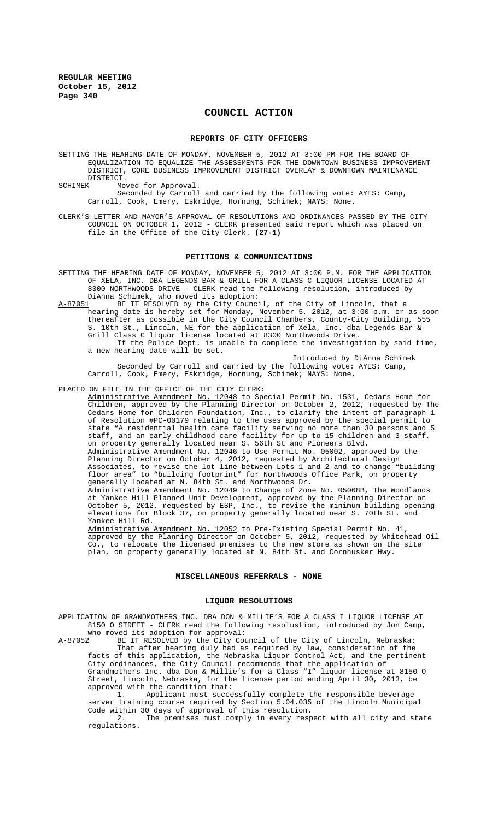# **COUNCIL ACTION**

## **REPORTS OF CITY OFFICERS**

SETTING THE HEARING DATE OF MONDAY, NOVEMBER 5, 2012 AT 3:00 PM FOR THE BOARD OF EQUALIZATION TO EQUALIZE THE ASSESSMENTS FOR THE DOWNTOWN BUSINESS IMPROVEMENT DISTRICT, CORE BUSINESS IMPROVEMENT DISTRICT OVERLAY & DOWNTOWN MAINTENANCE DISTRICT.<br>SCHIMEK Mo

Moved for Approval.

Seconded by Carroll and carried by the following vote: AYES: Camp, Carroll, Cook, Emery, Eskridge, Hornung, Schimek; NAYS: None.

CLERK'S LETTER AND MAYOR'S APPROVAL OF RESOLUTIONS AND ORDINANCES PASSED BY THE CITY COUNCIL ON OCTOBER 1, 2012 - CLERK presented said report which was placed on file in the Office of the City Clerk. **(27-1)**

## **PETITIONS & COMMUNICATIONS**

SETTING THE HEARING DATE OF MONDAY, NOVEMBER 5, 2012 AT 3:00 P.M. FOR THE APPLICATION OF XELA, INC. DBA LEGENDS BAR & GRILL FOR A CLASS C LIQUOR LICENSE LOCATED AT 8300 NORTHWOODS DRIVE - CLERK read the following resolution, introduced by DiAnna Schimek, who moved its adoption:<br>A-87051 BE IT RESOLVED by the City Counci

BE IT RESOLVED by the City Council, of the City of Lincoln, that a hearing date is hereby set for Monday, November 5, 2012, at 3:00 p.m. or as soon thereafter as possible in the City Council Chambers, County-City Building, 555 10th St., Lincoln, NE for the application of Xela, Inc. dba Legends Bar & Grill Class C liquor license located at 8300 Northwoods Drive. If the Police Dept. is unable to complete the investigation by said time, a new hearing date will be set.

Introduced by DiAnna Schimek Seconded by Carroll and carried by the following vote: AYES: Camp, Carroll, Cook, Emery, Eskridge, Hornung, Schimek; NAYS: None.

PLACED ON FILE IN THE OFFICE OF THE CITY CLERK:

Administrative Amendment No. 12048 to Special Permit No. 1531, Cedars Home for Children, approved by the Planning Director on October 2, 2012, requested by The Cedars Home for Children Foundation, Inc., to clarify the intent of paragraph 1 of Resolution #PC-00179 relating to the uses approved by the special permit to state "A residential health care facility serving no more than 30 persons and 5 staff, and an early childhood care facility for up to 15 children and 3 staff, on property generally located near S. 56th St and Pioneers Blvd. Administrative Amendment No. 12046 to Use Permit No. 05002, approved by the Planning Director on October 4, 2012, requested by Architectural Design Associates, to revise the lot line between Lots 1 and 2 and to change "building floor area" to "building footprint" for Northwoods Office Park, on property generally located at N. 84th St. and Northwoods Dr. Administrative Amendment No. 12049 to Change of Zone No. 05068B, The Woodlands at Yankee Hill Planned Unit Development, approved by the Planning Director on October 5, 2012, requested by ESP, Inc., to revise the minimum building opening elevations for Block 37, on property generally located near S. 70th St. and Yankee Hill Rd.

Administrative Amendment No. 12052 to Pre-Existing Special Permit No. 41, approved by the Planning Director on October 5, 2012, requested by Whitehead Oil Co., to relocate the licensed premises to the new store as shown on the site plan, on property generally located at N. 84th St. and Cornhusker Hwy.

## **MISCELLANEOUS REFERRALS - NONE**

#### **LIQUOR RESOLUTIONS**

APPLICATION OF GRANDMOTHERS INC. DBA DON & MILLIE'S FOR A CLASS I LIQUOR LICENSE AT 8150 O STREET - CLERK read the following resolustion, introduced by Jon Camp, who moved its adoption for approval:<br>A-87052 BE IT RESOLVED by the City Cou

BE IT RESOLVED by the City Council of the City of Lincoln, Nebraska: That after hearing duly had as required by law, consideration of the facts of this application, the Nebraska Liquor Control Act, and the pertinent City ordinances, the City Council recommends that the application of Grandmothers Inc. dba Don & Millie's for a Class "I" liquor license at 8150 O Street, Lincoln, Nebraska, for the license period ending April 30, 2013, be approved with the condition that:<br>1. Applicant must succe

Applicant must successfully complete the responsible beverage server training course required by Section 5.04.035 of the Lincoln Municipal Code within 30 days of approval of this resolution.

2. The premises must comply in every respect with all city and state regulations.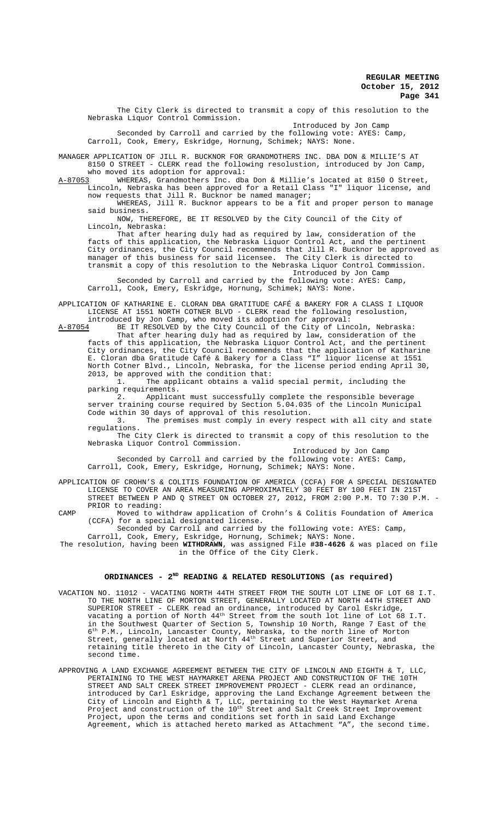The City Clerk is directed to transmit a copy of this resolution to the Nebraska Liquor Control Commission. Introduced by Jon Camp Seconded by Carroll and carried by the following vote: AYES: Camp, Carroll, Cook, Emery, Eskridge, Hornung, Schimek; NAYS: None. MANAGER APPLICATION OF JILL R. BUCKNOR FOR GRANDMOTHERS INC. DBA DON & MILLIE'S AT 8150 O STREET - CLERK read the following resolustion, introduced by Jon Camp, who moved its adoption for approval:<br>A-87053 WHEREAS, Grandmothers Inc. dba WHEREAS, Grandmothers Inc. dba Don & Millie's located at 8150 O Street, Lincoln, Nebraska has been approved for a Retail Class "I" liquor license, and now requests that Jill R. Bucknor be named manager;

WHEREAS, Jill R. Bucknor appears to be a fit and proper person to manage said business.

NOW, THEREFORE, BE IT RESOLVED by the City Council of the City of Lincoln, Nebraska:

That after hearing duly had as required by law, consideration of the facts of this application, the Nebraska Liquor Control Act, and the pertinent City ordinances, the City Council recommends that Jill R. Bucknor be approved as manager of this business for said licensee. The City Clerk is directed to manager of this business for said licensee. The City Clerk is directed to transmit a copy of this resolution to the Nebraska Liquor Control Commission.

Introduced by Jon Camp

Seconded by Carroll and carried by the following vote: AYES: Camp, Carroll, Cook, Emery, Eskridge, Hornung, Schimek; NAYS: None.

APPLICATION OF KATHARINE E. CLORAN DBA GRATITUDE CAFÉ & BAKERY FOR A CLASS I LIQUOR LICENSE AT 1551 NORTH COTNER BLVD - CLERK read the following resolustion, introduced by Jon Camp, who moved its adoption for approval:

 $A-87054$  BE IT RESOLVED by the City Council of the City of Lincoln, That after hearing duly had as required by law, consideration of the facts of this application, the Nebraska Liquor Control Act, and the pertinent City ordinances, the City Council recommends that the application of Katharine E. Cloran dba Gratitude Café & Bakery for a Class "I" liquor license at 1551 North Cotner Blvd., Lincoln, Nebraska, for the license period ending April 30, 2013, be approved with the condition that:

1. The applicant obtains a valid special permit, including the parking requirements.

2. Applicant must successfully complete the responsible beverage server training course required by Section 5.04.035 of the Lincoln Municipal Code within 30 days of approval of this resolution.

3. The premises must comply in every respect with all city and state regulations.

The City Clerk is directed to transmit a copy of this resolution to the Nebraska Liquor Control Commission.

Introduced by Jon Camp Seconded by Carroll and carried by the following vote: AYES: Camp, Carroll, Cook, Emery, Eskridge, Hornung, Schimek; NAYS: None.

APPLICATION OF CROHN'S & COLITIS FOUNDATION OF AMERICA (CCFA) FOR A SPECIAL DESIGNATED LICENSE TO COVER AN AREA MEASURING APPROXIMATELY 30 FEET BY 100 FEET IN 21ST STREET BETWEEN P AND Q STREET ON OCTOBER 27, 2012, FROM 2:00 P.M. TO 7:30 P.M. - PRIOR to reading:

CAMP Moved to withdraw application of Crohn's & Colitis Foundation of America (CCFA) for a special designated license.

Seconded by Carroll and carried by the following vote: AYES: Camp, Carroll, Cook, Emery, Eskridge, Hornung, Schimek; NAYS: None.

The resolution, having been **WITHDRAWN**, was assigned File **#38-4626** & was placed on file in the Office of the City Clerk.

# ORDINANCES - 2<sup>ND</sup> READING & RELATED RESOLUTIONS (as required)

- VACATION NO. 11012 VACATING NORTH 44TH STREET FROM THE SOUTH LOT LINE OF LOT 68 I.T. TO THE NORTH LINE OF MORTON STREET, GENERALLY LOCATED AT NORTH 44TH STREET AND SUPERIOR STREET - CLERK read an ordinance, introduced by Carol Eskridge, vacating a portion of North  $44^{\text{th}}$  Street from the south lot line of Lot 68 I.T. in the Southwest Quarter of Section 5, Township 10 North, Range 7 East of the 6th P.M., Lincoln, Lancaster County, Nebraska, to the north line of Morton Street, generally located at North  $44^{\text{th}}$  Street and Superior Street, and retaining title thereto in the City of Lincoln, Lancaster County, Nebraska, the second time.
- APPROVING A LAND EXCHANGE AGREEMENT BETWEEN THE CITY OF LINCOLN AND EIGHTH & T, LLC, PERTAINING TO THE WEST HAYMARKET ARENA PROJECT AND CONSTRUCTION OF THE 10TH STREET AND SALT CREEK STREET IMPROVEMENT PROJECT - CLERK read an ordinance, introduced by Carl Eskridge, approving the Land Exchange Agreement between the City of Lincoln and Eighth & T, LLC, pertaining to the West Haymarket Arena Project and construction of the  $10^{\rm th}$  Street and Salt Creek Street Improvement Project, upon the terms and conditions set forth in said Land Exchange Agreement, which is attached hereto marked as Attachment "A", the second time.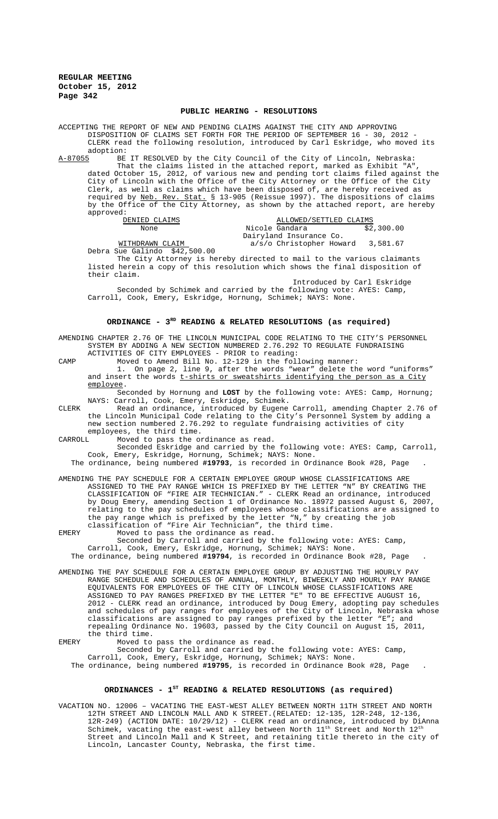## **PUBLIC HEARING - RESOLUTIONS**

ACCEPTING THE REPORT OF NEW AND PENDING CLAIMS AGAINST THE CITY AND APPROVING DISPOSITION OF CLAIMS SET FORTH FOR THE PERIOD OF SEPTEMBER 16 - 30, 2012 - CLERK read the following resolution, introduced by Carl Eskridge, who moved its

adoption:<br><u>A-87055</u> BE A-87055 BE IT RESOLVED by the City Council of the City of Lincoln, Nebraska: That the claims listed in the attached report, marked as Exhibit "A", dated October 15, 2012, of various new and pending tort claims filed against the City of Lincoln with the Office of the City Attorney or the Office of the City Clerk, as well as claims which have been disposed of, are hereby received as required by <u>Neb. Rev. Stat.</u> § 13-905 (Reissue 1997). The dispositions of claims by the Office of the City Attorney, as shown by the attached report, are hereby approved:<br>DENIED CLAIMS

DENIED CLAIMS **ALLOWED**/SETTLED CLAIMS None  $Nicole$  Gandara  $\qquad \qquad$  \$2,300.00 Dairyland Insurance Co. WITHDRAWN CLAIM **a**/s/o Christopher Howard 3,581.67

Debra Sue Galindo \$42,500.00

The City Attorney is hereby directed to mail to the various claimants listed herein a copy of this resolution which shows the final disposition of their claim.

Introduced by Carl Eskridge

Seconded by Schimek and carried by the following vote: AYES: Camp, Carroll, Cook, Emery, Eskridge, Hornung, Schimek; NAYS: None.

## ORDINANCE - 3<sup>RD</sup> READING & RELATED RESOLUTIONS (as required)

AMENDING CHAPTER 2.76 OF THE LINCOLN MUNICIPAL CODE RELATING TO THE CITY'S PERSONNEL SYSTEM BY ADDING A NEW SECTION NUMBERED 2.76.292 TO REGULATE FUNDRAISING ACTIVITIES OF CITY EMPLOYEES - PRIOR to reading:

CAMP Moved to Amend Bill No. 12-129 in the following manner:

1. On page 2, line 9, after the words "wear" delete the word "uniforms" and insert the words  $t$ -shirts or sweatshirts identifying the person as a City employee.

Seconded by Hornung and **LOST** by the following vote: AYES: Camp, Hornung; NAYS: Carroll, Cook, Emery, Eskridge, Schimek.

CLERK Read an ordinance, introduced by Eugene Carroll, amending Chapter 2.76 of the Lincoln Municipal Code relating to the City's Personnel System by adding a new section numbered 2.76.292 to regulate fundraising activities of city

employees, the third time.<br>CARROLL Moved to pass the or Moved to pass the ordinance as read.

> Seconded Eskridge and carried by the following vote: AYES: Camp, Carroll, Cook, Emery, Eskridge, Hornung, Schimek; NAYS: None.

The ordinance, being numbered **#19793**, is recorded in Ordinance Book #28, Page .

AMENDING THE PAY SCHEDULE FOR A CERTAIN EMPLOYEE GROUP WHOSE CLASSIFICATIONS ARE<br>ASSIGNED TO THE PAY RANGE WHICH IS PREFIXED BY THE LETTER "N" BY CREATING THE ASSIGNED TO THE PAY RANGE WHICH IS PREFIXED BY THE LETTER "N" CLASSIFICATION OF "FIRE AIR TECHNICIAN." - CLERK Read an ordinance, introduced by Doug Emery, amending Section 1 of Ordinance No. 18972 passed August 6, relating to the pay schedules of employees whose classifications are assigned to the pay range which is prefixed by the letter "N," by creating the job classification of "Fire Air Technician", the third time.

EMERY Moved to pass the ordinance as read. Seconded by Carroll and carried by the following vote: AYES: Camp, Carroll, Cook, Emery, Eskridge, Hornung, Schimek; NAYS: None. The ordinance, being numbered **#19794**, is recorded in Ordinance Book #28, Page .

AMENDING THE PAY SCHEDULE FOR A CERTAIN EMPLOYEE GROUP BY ADJUSTING THE HOURLY PAY RANGE SCHEDULE AND SCHEDULES OF ANNUAL, MONTHLY, BIWEEKLY AND HOURLY PAY RANGE EQUIVALENTS FOR EMPLOYEES OF THE CITY OF LINCOLN WHOSE CLASSIFICATIONS ARE ASSIGNED TO PAY RANGES PREFIXED BY THE LETTER "E" TO BE EFFECTIVE AUGUST 16, 2012 - CLERK read an ordinance, introduced by Doug Emery, adopting pay schedules and schedules of pay ranges for employees of the City of Lincoln, Nebraska whose classifications are assigned to pay ranges prefixed by the letter "E"; and repealing Ordinance No. 19603, passed by the City Council on August 15, 2011, the third time.

EMERY Moved to pass the ordinance as read.

Seconded by Carroll and carried by the following vote: AYES: Camp, Carroll, Cook, Emery, Eskridge, Hornung, Schimek; NAYS: None. The ordinance, being numbered **#19795**, is recorded in Ordinance Book #28, Page .

## ORDINANCES - 1<sup>st</sup> READING & RELATED RESOLUTIONS (as required)

VACATION NO. 12006 – VACATING THE EAST-WEST ALLEY BETWEEN NORTH 11TH STREET AND NORTH 12TH STREET AND LINCOLN MALL AND K STREET.(RELATED: 12-135, 12R-248, 12-136, 12R-249) (ACTION DATE: 10/29/12) - CLERK read an ordinance, introduced by DiAnna Schimek, vacating the east-west alley between North  $11^{\text{th}}$  Street and North  $12^{\text{th}}$ Street and Lincoln Mall and K Street, and retaining title thereto in the city of Lincoln, Lancaster County, Nebraska, the first time.